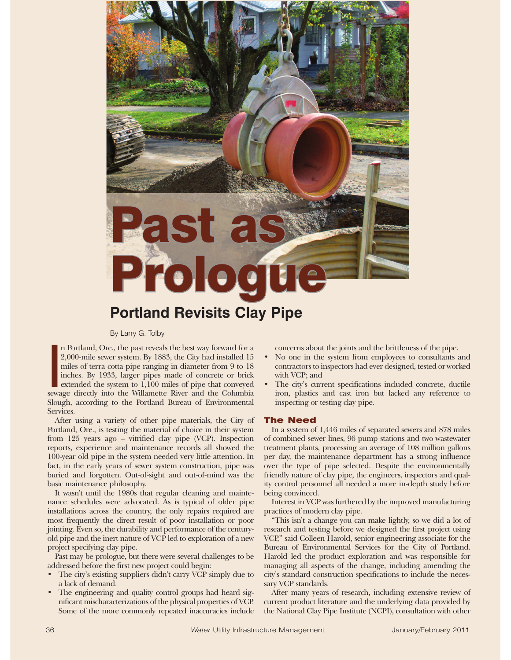# Past a Prolog **Portland Revisits Clay Pipe**

By Larry G. Tolby

 $\begin{bmatrix} 1 \\ 2 \\ 1 \\ 1 \\ 1 \\ 0 \end{bmatrix}$ n Portland, Ore., the past reveals the best way forward for a 2,000-mile sewer system. By 1883, the City had installed 15 miles of terra cotta pipe ranging in diameter from 9 to 18 inches. By 1933, larger pipes made of concrete or brick extended the system to 1,100 miles of pipe that conveyed sewage directly into the Willamette River and the Columbia Slough, according to the Portland Bureau of Environmental Services.

After using a variety of other pipe materials, the City of Portland, Ore., is testing the material of choice in their system from 125 years ago – vitrified clay pipe (VCP). Inspection reports, experience and maintenance records all showed the 100-year old pipe in the system needed very little attention. In fact, in the early years of sewer system construction, pipe was buried and forgotten. Out-of-sight and out-of-mind was the basic maintenance philosophy.

It wasn't until the 1980s that regular cleaning and maintenance schedules were advocated. As is typical of older pipe installations across the country, the only repairs required are most frequently the direct result of poor installation or poor jointing. Even so, the durability and performance of the centuryold pipe and the inert nature of VCP led to exploration of a new project specifying clay pipe.

Past may be prologue, but there were several challenges to be addressed before the first new project could begin:

- The city's existing suppliers didn't carry VCP simply due to a lack of demand.
- The engineering and quality control groups had heard significant mischaracterizations of the physical properties of VCP. Some of the more commonly repeated inaccuracies include

concerns about the joints and the brittleness of the pipe.

- No one in the system from employees to consultants and contractors to inspectors had ever designed, tested or worked with VCP; and
- The city's current specifications included concrete, ductile iron, plastics and cast iron but lacked any reference to inspecting or testing clay pipe.

## The Need

In a system of 1,446 miles of separated sewers and 878 miles of combined sewer lines, 96 pump stations and two wastewater treatment plants, processing an average of 108 million gallons per day, the maintenance department has a strong influence over the type of pipe selected. Despite the environmentally friendly nature of clay pipe, the engineers, inspectors and quality control personnel all needed a more in-depth study before being convinced.

Interest in VCP was furthered by the improved manufacturing practices of modern clay pipe.

"This isn't a change you can make lightly, so we did a lot of research and testing before we designed the first project using VCP," said Colleen Harold, senior engineering associate for the Bureau of Environmental Services for the City of Portland. Harold led the product exploration and was responsible for managing all aspects of the change, including amending the city's standard construction specifications to include the necessary VCP standards.

After many years of research, including extensive review of current product literature and the underlying data provided by the National Clay Pipe Institute (NCPI), consultation with other